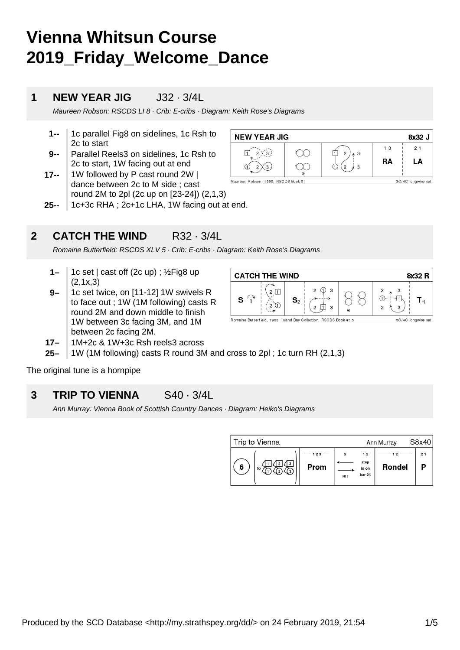# **Vienna Whitsun Course 2019\_Friday\_Welcome\_Dance**

### **1 NEW YEAR JIG** J32 · 3/4L

Maureen Robson: RSCDS LI 8 · Crib: E-cribs · Diagram: Keith Rose's Diagrams

- **1--** 1c parallel Fig8 on sidelines, 1c Rsh to 2c to start
- **9--** Parallel Reels3 on sidelines, 1c Rsh to 2c to start, 1W facing out at end
- **17--** 1W followed by P cast round 2W | dance between 2c to M side ; cast round 2M to 2pl (2c up on [23-24]) (2,1,3)
- **25--** 1c+3c RHA ; 2c+1c LHA, 1W facing out at end.

**2 CATCH THE WIND R32 · 3/4L** 

Romaine Butterfield: RSCDS XLV 5 · Crib: E-cribs · Diagram: Keith Rose's Diagrams

- **1–** 1c set | cast off (2c up) ; ½Fig8 up (2,1x,3)
- **9–** 1c set twice, on [11-12] 1W swivels R to face out ; 1W (1M following) casts R round 2M and down middle to finish 1W between 3c facing 3M, and 1M between 2c facing 2M.



3C/4C longwise set.

- **17–** 1M+2c & 1W+3c Rsh reels3 across
- **25–** 1W (1M following) casts R round 3M and cross to 2pl ; 1c turn RH (2,1,3)

The original tune is a hornpipe

#### **3 TRIP TO VIENNA** S40 · 3/4L

Ann Murray: Vienna Book of Scottish Country Dances · Diagram: Heiko's Diagrams

| Trip to Vienna | Ann Murray  |    | S8x40                         |               |    |
|----------------|-------------|----|-------------------------------|---------------|----|
| 6<br>to        | 123<br>Prom | RH | 12<br>step<br>in on<br>bar 24 | <b>Rondel</b> | 21 |



Maureen Bobson, 1995, BSCDS Book 51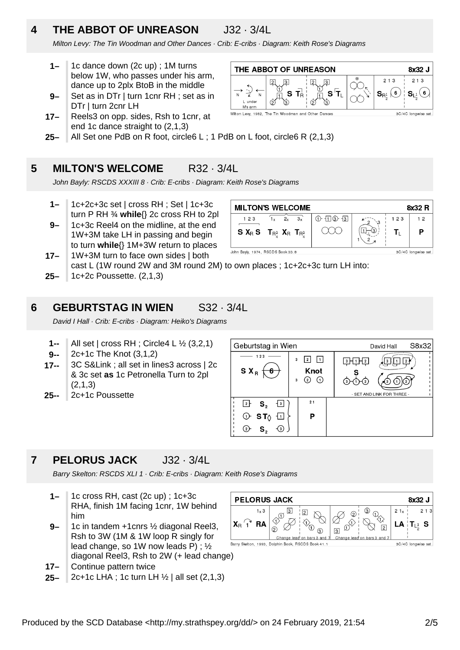# **4 THE ABBOT OF UNREASON** J32 · 3/4L

Milton Levy: The Tin Woodman and Other Dances · Crib: E-cribs · Diagram: Keith Rose's Diagrams

- **1–** 1c dance down (2c up) ; 1M turns below 1W, who passes under his arm, dance up to 2plx BtoB in the middle
- **9–** Set as in DTr | turn 1cnr RH ; set as in DTr | turn 2cnr LH
- **17–** Reels3 on opp. sides, Rsh to 1cnr, at end 1c dance straight to (2,1,3)



**25–** All Set one PdB on R foot, circle6 L ; 1 PdB on L foot, circle6 R (2,1,3)

#### **5 MILTON'S WELCOME** R32 · 3/4L

John Bayly: RSCDS XXXIII 8 · Crib: E-cribs · Diagram: Keith Rose's Diagrams

- **1–** 1c+2c+3c set | cross RH ; Set | 1c+3c turn P RH ¾ **while**{} 2c cross RH to 2pl
- **9–** 1c+3c Reel4 on the midline, at the end 1W+3M take LH in passing and begin to turn **while**{} 1M+3W return to places

| <b>MILTON'S WELCOME</b><br>8x32 R                        |    |    |                       |          |     |    |
|----------------------------------------------------------|----|----|-----------------------|----------|-----|----|
| 1 2 3                                                    | 2x | 3x | $(1) - 11$ $(3) - 13$ | $\sim$ 3 | 123 | 12 |
| S $X_R$ S $T_{R_A^3}$ $X_R$ $T_{R_A^3}$                  |    |    |                       | З        |     | P  |
| John Bayly, 1974, RSCDS Book 33.8<br>3C/4C longwise set. |    |    |                       |          |     |    |

- **25– 17–** 1W+3M turn to face own sides | both cast L (1W round 2W and 3M round 2M) to own places ; 1c+2c+3c turn LH into: 1c+2c Poussette. (2,1,3)
- 

### **6 GEBURTSTAG IN WIEN** S32 · 3/4L

David I Hall · Crib: E-cribs · Diagram: Heiko's Diagrams

- **1--** All set | cross RH ; Circle4 L ½ (3,2,1)
- **9--** 2c+1c The Knot (3,1,2)
- **17--** 3C S&Link ; all set in lines3 across | 2c & 3c set **as** 1c Petronella Turn to 2pl (2,1,3)
- **25--** 2c+1c Poussette



## **7 PELORUS JACK** J32 · 3/4L

Barry Skelton: RSCDS XLI 1 · Crib: E-cribs · Diagram: Keith Rose's Diagrams

- **1–** 1c cross RH, cast (2c up) ; 1c+3c RHA, finish 1M facing 1cnr, 1W behind him
- **9–** 1c in tandem +1cnrs ½ diagonal Reel3, Rsh to 3W (1M & 1W loop R singly for lead change, so 1W now leads P) ; ½ diagonal Reel3, Rsh to 2W (+ lead change)
- **17–** Continue pattern twice
- **25–** 2c+1c LHA ; 1c turn LH ½ | all set (2,1,3)

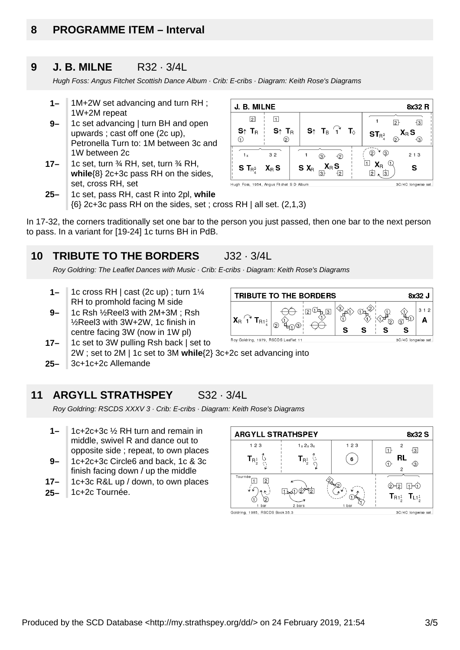# **8 PROGRAMME ITEM – Interval**

#### **9 J. B. MILNE** R32 · 3/4L

Hugh Foss: Angus Fitchet Scottish Dance Album · Crib: E-cribs · Diagram: Keith Rose's Diagrams

- **1–** 1M+2W set advancing and turn RH ; 1W+2M repeat
- **9–** 1c set advancing | turn BH and open upwards ; cast off one (2c up), Petronella Turn to: 1M between 3c and 1W between 2c
- **17–** 1c set, turn ¾ RH, set, turn ¾ RH, **while**{8} 2c+3c pass RH on the sides, set, cross RH, set
- J. B. MILNE 8x32 R  $\Box$  $\sqrt{2}$  $\overline{2}$  $\overline{3}$  $S \uparrow T_{B}$  $S \uparrow T_R$  $S_{\uparrow}$  T<sub>B</sub>  $\hat{I}^{\uparrow}$  $\mathbf{T}_{\odot}$  $X_{\mathbb{R}}$  S  $ST_{R^3}$  $\odot$  $\odot$  $\odot$  $\circled{2}$  $^{\circ}$  $\circled{3}$  $1<sub>v</sub>$  $32$  $213$  $\circled{3}$  $\circled{2}$  $\Box$   $\mathbf{X}_{\mathrm{B}}$  $\mathbb G$  $X_{R}S$ S X<sub>R</sub> S S T $_{R^3}$  $X_{R}S$  $\overline{3}$  $\overline{2}$ 面、面 Hugh Foss, 1954, Angus Fitchet S D Album 3C/4C longwise set
- **25–** 1c set, pass RH, cast R into 2pl, **while**  $\{6\}$  2c+3c pass RH on the sides, set; cross RH | all set. (2,1,3)

In 17-32, the corners traditionally set one bar to the person you just passed, then one bar to the next person to pass. In a variant for [19-24] 1c turns BH in PdB.

#### **10 TRIBUTE TO THE BORDERS** J32 · 3/4L

Roy Goldring: The Leaflet Dances with Music · Crib: E-cribs · Diagram: Keith Rose's Diagrams

- **1–** 1c cross RH | cast (2c up) ; turn 1¼ RH to promhold facing M side
- **9–** 1c Rsh ½Reel3 with 2M+3M ; Rsh ½Reel3 with 3W+2W, 1c finish in centre facing 3W (now in 1W pl)
- Roy Goldring, 1979, RSCDS Leaflet 11 1c set to 3W pulling Rsh back | set to **17–** 2W ; set to 2M | 1c set to 3M **while**{2} 3c+2c set advancing into
- **25–** 3c+1c+2c Allemande

**11 ARGYLL STRATHSPEY** S32 · 3/4L

Roy Goldring: RSCDS XXXV 3 · Crib: E-cribs · Diagram: Keith Rose's Diagrams

- **1–** 1c+2c+3c ½ RH turn and remain in middle, swivel R and dance out to opposite side ; repeat, to own places
- **9–** 1c+2c+3c Circle6 and back, 1c & 3c finish facing down / up the middle
- **17–** 1c+3c R&L up / down, to own places
- **25–** 1c+2c Tournée.



**TRIBUTE TO THE BORDERS** 8x32 J  $312$  $\sqrt{3}$ Œ A  $T_{B1<sup>1</sup>}$ つ বি  $\odot$ S S S S 3C/4C longwise set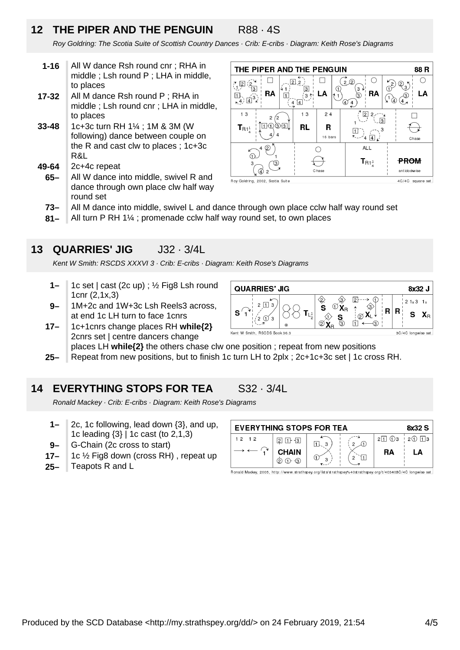# **12 THE PIPER AND THE PENGUIN** R88 · 4S

Roy Goldring: The Scotia Suite of Scottish Country Dances · Crib: E-cribs · Diagram: Keith Rose's Diagrams

- **1-16** All W dance Rsh round cnr ; RHA in middle ; Lsh round P ; LHA in middle, to places
- **17-32** All M dance Rsh round P ; RHA in middle ; Lsh round cnr ; LHA in middle, to places
- **33-48** 1c+3c turn RH 1¼ ; 1M & 3M (W following) dance between couple on the R and cast clw to places ; 1c+3c R&L
- **49-64** 2c+4c repeat
- **65–** All W dance into middle, swivel R and dance through own place clw half way round set



- **73–** All M dance into middle, swivel L and dance through own place cclw half way round set
- **81–** All turn P RH 1¼ ; promenade cclw half way round set, to own places

### **13 QUARRIES' JIG** J32 · 3/4L

Kent W Smith: RSCDS XXXVI 3 · Crib: E-cribs · Diagram: Keith Rose's Diagrams

- **1–** 1c set | cast (2c up) ; ½ Fig8 Lsh round 1cnr (2,1x,3)
- **9–** 1M+2c and 1W+3c Lsh Reels3 across, at end 1c LH turn to face 1cnrs
- **17–** 1c+1cnrs change places RH **while{2}** 2cnrs set | centre dancers change



places LH **while{2}** the others chase clw one position ; repeat from new positions

**25–** Repeat from new positions, but to finish 1c turn LH to 2plx ; 2c+1c+3c set | 1c cross RH.

### **14 EVERYTHING STOPS FOR TEA** S32 · 3/4L

Ronald Mackey · Crib: E-cribs · Diagram: Keith Rose's Diagrams

- **1–** 2c, 1c following, lead down {3}, and up, 1c leading {3} | 1c cast (to 2,1,3)
- **9–** G-Chain (2c cross to start)
- **17–** 1c ½ Fig8 down (cross RH) , repeat up
- **25–** Teapots R and L

| <b>EVERYTHING STOPS FOR TEA</b><br>8x32 S |                   |  |  |                      |             |  |
|-------------------------------------------|-------------------|--|--|----------------------|-------------|--|
| 12, 12                                    | 2                 |  |  | $2\sqrt{1} \sqrt{3}$ | $2(1)$ 11 3 |  |
|                                           | <b>CHAIN</b><br>2 |  |  | RA                   | LA.         |  |

Ronald Mackey, 2005, http://www.strathspey.org/lists/strathspey%40strathspey.org/t/403408C/4C longwise set.